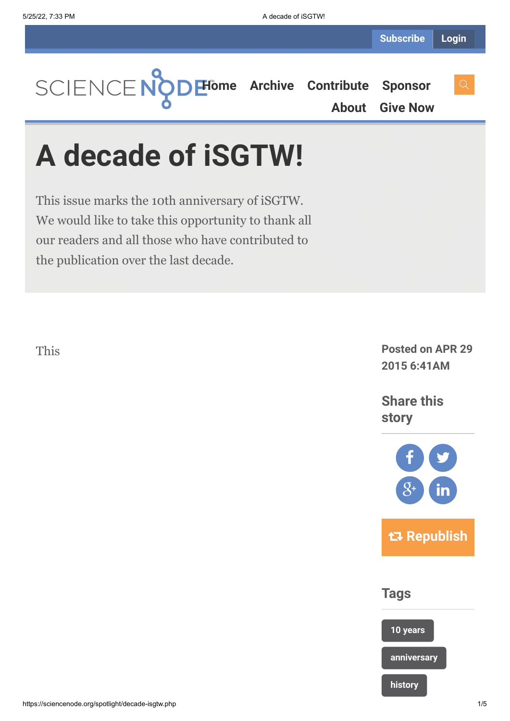**[Home](https://sciencenode.org/) [Archive](https://sciencenode.org/archive/index.php) [Contribute](https://sciencenode.org/contribute/index.php) [Sponsor](https://sciencenode.org/sponsor/index.php)**

**[About](https://sciencenode.org/about/index.php) [Give Now](https://sciencenode.org/donate/index.php)**

# **A decade of iSGTW!**

This issue marks the 10th anniversary of iSGTW. We would like to take this opportunity to thank all our readers and all those who have contributed to the publication over the last decade.

This

**Posted on APR 29 2015 6:41AM**

**Share this story**



**Tags**

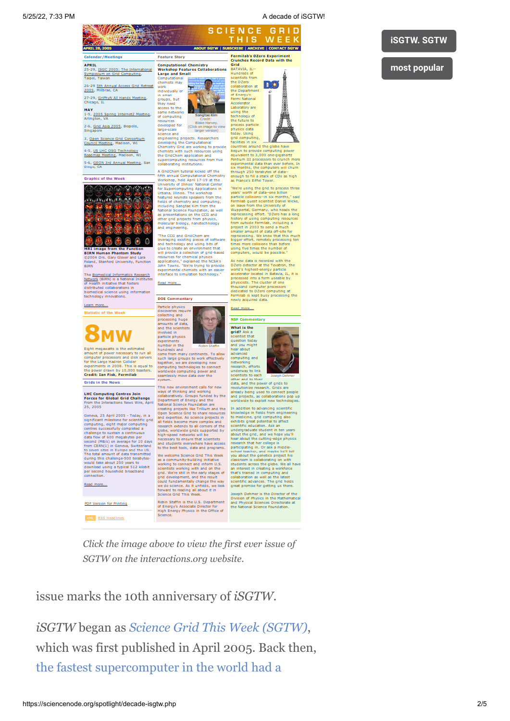### A decade of iSGTWI

# **iSGTW. SGTW**

## most popular

Calendar/Meetings APRIL .<br>ISGC 2005: The International

26-29 5th Annual Access Grid Retreat 27-29, GriPhyN All Hands Meeting

-5, 2005 Spring Internet2 Meeting,

2-6, Grid Asia 2005, Biopolis,

3, <u>Open Science Grid Consortium</u><br>Council Meeting, Madison, WI

4-5, US LHC OSG Technology<br>Roadmap Meeting, Madison, WI

5-6, GEON 3rd Annual Meeting, San



 $\bullet$  $\mathcal{C}$ man Phantom Study

e Blomedical Informatics Network ( stwork (BIRN) is a National In:<br>Health initiative that fosters<br>stributed collaborations in dical science using informatio ology innovations

tic of the Weel

**MW** 

Eight megawatts is the estimated<br>amount of power necessary to run all<br>computer processors and disk servers<br>for the Large Hadron Collider<br>experiments in 2008. This is equal to<br>the power drawn by 10,000 toasters.<br>**Credit: Ia** Grids in the News

**LHC Computing Centres Join<br>Forces for Global Grid Challenge** From the Interactions News Wire, April<br>25, 2005

25, 2005<br>
Seneva, 25 April 2005 - Today, in a<br>
Geneva, 25 April 2005 - Today, in a<br>
significant milestone for scientific grid<br>
computing, eight major computing<br>
challenge to sustain a continuous<br>
data flow of 600 megabyte

Read more...

PDF Version for Printing

XML RSS Headlines





tes<br>red for larger vers na<br>ng projects, Researchers. engineering projects. Researchers<br>developing the Computational<br>Chemistry Grid are working to provide<br>chemists with such resources using<br>the GridChem application and<br>supercomputing resources from five<br>collaborating institut

collaborating institutions.<br>A Grid Chem tutorial size of the Aristotral Computational Chemistry<br>fifth annual Computational Chemistry<br>University of Ellinois' National Center<br>for Supercomputing Applications in tutorions.<br>Urb including Sangtae Kim from the<br>National Science Foundation, as well<br>as presentations on the CCG and<br>other grid projects from physics,<br>molecular biology, nanotechnology<br>and engineering.

and engineering<br>
"The CCS and GridChem are<br>
leveraging existing pieces of software<br>
and technology and using hits of<br>
glue to realize an environment that<br>
will provide a collection of grid-based<br>
republications," explained

Read more...



system.<br>
This new environment calls for new<br>
This new environment calls for new<br>
ways of thinking and working<br>
collaboratively. Groups funded by the<br>
Department of Energy and the<br>
National Sicence Foundation are<br>
conting p

We welcome Science Grid This Week We welcome Science Grid This Week<br>as a community-building initiative<br>werking to connect and inform U.S.<br>scientists working with and on the<br>grid. We're still in the early stages of<br>grid. development, and the result<br>could f

Robin Staffin is the U.S. Department<br>of Energy's Associate Director for<br>High Energy Physics in the Office of



**SCIENCE GRID** THIS WEEK

**BSCRIBE | ARCHIVE | CONTACT SGTW** 

countries around the globe h<br>begun to provide computing<br>equivalent to 3,000 one-globe<br>Pentium III processors to cru<br>experimental data than ever like<br>through the computers when ugh 250 terabytes of enough to fill a stack of CDs<br>as France's Eiffel Tower.

as France's Eiffel Tower.<br>
"Were using the grid to process "were using the grid to process "wear" worth of data-one billion<br>
particle collisions --in six months,<br>
Fermilab guest scientist Daniel W<br>
On teaming out is consi

computers, would be possible.<br>
As new data is recorded with the DZero detector at the Tevelron, the<br>
word's highest-energy particle<br>
accelerator located in Babava, IL, it<br>
processed into a form useable by<br>
physicists. The a.<br>a the

Read more...

### **NSF Commentary**

What is the<br>grid? Ask a Awastion toda<br>and you migh<br>hear about<br>advanced

data, and the power of grids to

axa, and the power on gnos to<br>trady being used to connect p<br>nd projects, as collaborations p<br>oridwide to exploit new techno In addition to advancing so<br>knowledge in fields from ex-

knowledge in fields from engineering<br>to medicine, grid computing also<br>cohibits great potential to affect<br>scientific education. Ask an<br>endeproducts student in ten years<br>about the cutting-education<br>hadro about the cutting-ed you about the genetics project his<br>classroom is collaborating on with<br>students across the globe. We all<br>an interest in creating a worldom<br>that's trained in computing and<br>collaboration as well as the latest<br>scientific advan

seph Dehmer is the Director of th<br>Wision of Physics in the Mathemat<br>id Physical Sciences Directorate at<br>e National Science Foundation.

Click the image above to view the first ever issue of SGTW on the interactions.org website.

issue marks the 10th anniversary of iSGTW.

iSGTW began as Science Grid This Week (SGTW), which was first published in April 2005. Back then, the fastest supercomputer in the world had a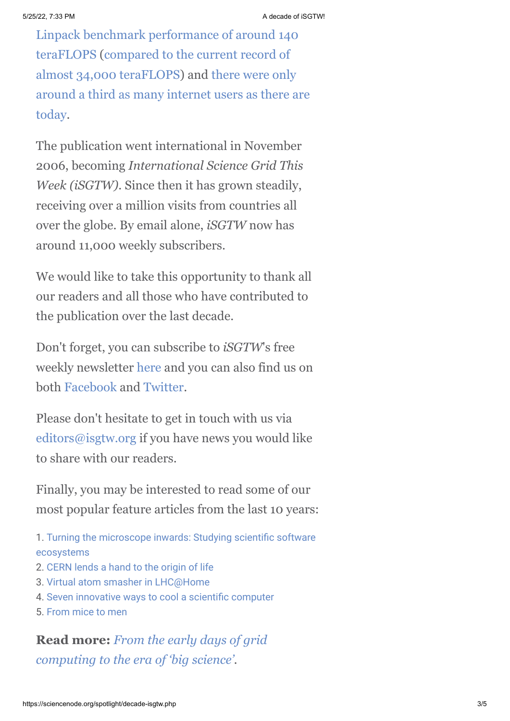[Linpack benchmark performance of around 140](http://www.top500.org/lists/2005/06/) [teraFLOPS \(compared to the current record of](http://www.top500.org/lists/2014/11/) almost 34,000 teraFLOPS) and there were only [around a third as many internet users as there are](http://www.internetlivestats.com/internet-users/#trend) today.

The publication went international in November 2006, becoming *International Science Grid This Week (iSGTW)*. Since then it has grown steadily, receiving over a million visits from countries all over the globe. By email alone, *iSGTW* now has around 11,000 weekly subscribers.

We would like to take this opportunity to thank all our readers and all those who have contributed to the publication over the last decade.

Don't forget, you can subscribe to *iSGTW*'s free weekly newsletter [here](http://www.isgtw.org/user/subscribe) and you can also find us on both [Facebook](https://www.facebook.com/pages/International-Science-Grid-This-Week/141926395796) and [Twitter](https://twitter.com/isgtw).

Please don't hesitate to get in touch with us via [editors@isgtw.org](mailto:editors@isgtw.org) if you have news you would like to share with our readers.

Finally, you may be interested to read some of our most popular feature articles from the last 10 years:

- [1. Turning the microscope inwards: Studying scientific software](http://www.isgtw.org/feature/research-report-turning-microscope-inwards-studying-scientific-software-ecosystems) ecosystems
- 2. [CERN lends a hand to the origin of life](http://www.isgtw.org/feature/cern-lends-hand-origin-life)
- 3. [Virtual atom smasher in LHC@Home](http://www.isgtw.org/feature/virtual-atom-smasher-lhchome)
- 4. [Seven innovative ways to cool a scientific computer](http://www.isgtw.org/feature/seven-innovative-ways-cool-scientific-computer)
- 5. [From mice to men](http://www.isgtw.org/feature/mice-men)

# **Read more:** *From the early days of grid [computing to the era of 'big science'.](http://www.isgtw.org/feature/early-days-grid-computing-era-big-science)*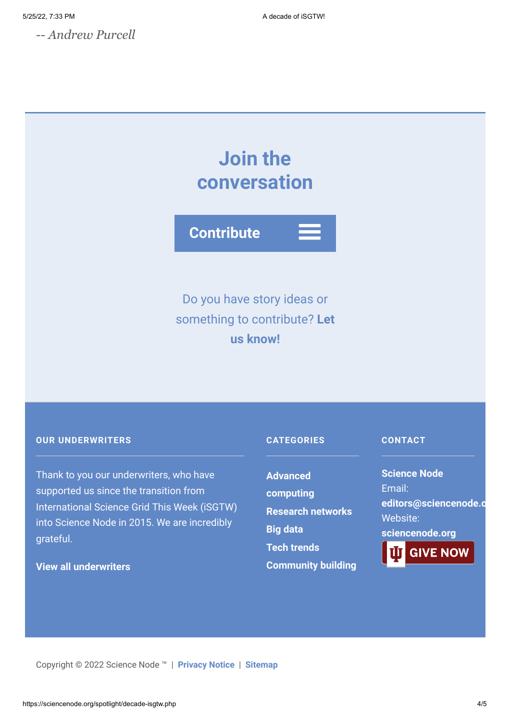*-- Andrew Purcell*

# **Join the conversation**



Do you have story ideas or something to contribute? **Let us know!**

# **OUR UNDERWRITERS**

Thank to you our underwriters, who have supported us since the transition from International Science Grid This Week (iSGTW) into Science Node in 2015. We are incredibly grateful.

# **[View all underwriters](https://sciencenode.org/about/index.php)**

# **CATEGORIES**

**Advanced [computing](https://sciencenode.org/archive/?year=2016&category=Advanced%20computing) [Research networks](https://sciencenode.org/archive/?year=2016&category=Advanced%20computing&category=Research%20networks) [Big data](https://sciencenode.org/archive/?year=2016&category=Advanced%20computing&category=Research%20networks&category=Big%20data) [Tech trends](https://sciencenode.org/archive/?year=2016&category=Advanced%20computing&category=Research%20networks&category=Big%20data&category=Tech%20trends) [Community building](https://sciencenode.org/archive/?year=2016&category=Advanced%20computing&category=Research%20networks&category=Big%20data&category=Tech%20trends&category=Community%20building)**

# **CONTACT**

**Science Node** Email: **[editors@sciencenode.o](mailto:edit%6F%72s@s%63%69encenode.%6F%72%67)** Website: **[sciencenode.org](https://sciencenode.org/) GIVE NOW** 

Copyright © 2022 Science Node ™ | **[Privacy Notice](https://sciencenode.org/privacy/index.php)** | **[Sitemap](https://sciencenode.org/sitemap/index.php)**